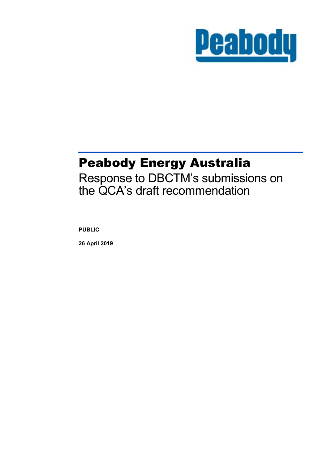

## Peabody Energy Australia

Response to DBCTM's submissions on the QCA's draft recommendation

**PUBLIC**

**26 April 2019**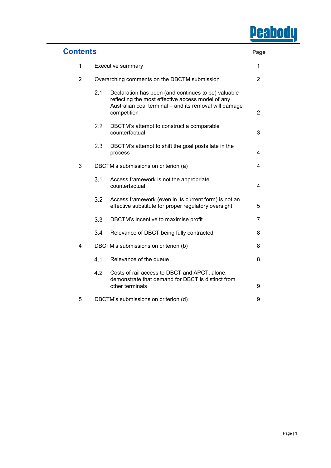# **Peabody**

| <b>Contents</b> |                                              |                                                                                                                                                                                     | Page           |
|-----------------|----------------------------------------------|-------------------------------------------------------------------------------------------------------------------------------------------------------------------------------------|----------------|
| 1               | Executive summary                            |                                                                                                                                                                                     | 1              |
| $\overline{2}$  | Overarching comments on the DBCTM submission |                                                                                                                                                                                     | $\overline{2}$ |
|                 | 2.1                                          | Declaration has been (and continues to be) valuable -<br>reflecting the most effective access model of any<br>Australian coal terminal - and its removal will damage<br>competition | $\overline{2}$ |
|                 | 2.2                                          | DBCTM's attempt to construct a comparable<br>counterfactual                                                                                                                         | 3              |
|                 | 2.3                                          | DBCTM's attempt to shift the goal posts late in the<br>process                                                                                                                      | 4              |
| 3               | DBCTM's submissions on criterion (a)         |                                                                                                                                                                                     | 4              |
|                 | 3.1                                          | Access framework is not the appropriate<br>counterfactual                                                                                                                           | 4              |
|                 | 3.2                                          | Access framework (even in its current form) is not an<br>effective substitute for proper regulatory oversight                                                                       | 5              |
|                 | 3.3                                          | DBCTM's incentive to maximise profit                                                                                                                                                | 7              |
|                 | 3.4                                          | Relevance of DBCT being fully contracted                                                                                                                                            | 8              |
| 4               |                                              | DBCTM's submissions on criterion (b)                                                                                                                                                | 8              |
|                 | 4.1                                          | Relevance of the queue                                                                                                                                                              | 8              |
|                 | 4.2                                          | Costs of rail access to DBCT and APCT, alone,<br>demonstrate that demand for DBCT is distinct from<br>other terminals                                                               | 9              |
| 5               | DBCTM's submissions on criterion (d)         |                                                                                                                                                                                     | 9              |

....................................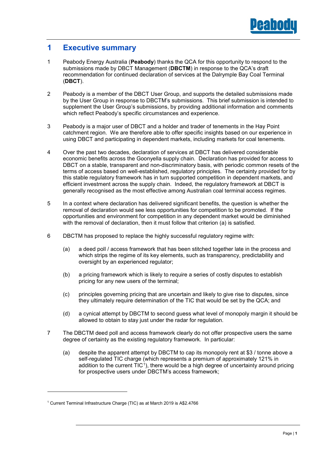

## **1 Executive summary**

- 1 Peabody Energy Australia (**Peabody**) thanks the QCA for this opportunity to respond to the submissions made by DBCT Management (**DBCTM**) in response to the QCA's draft recommendation for continued declaration of services at the Dalrymple Bay Coal Terminal (**DBCT**).
- 2 Peabody is a member of the DBCT User Group, and supports the detailed submissions made by the User Group in response to DBCTM's submissions. This brief submission is intended to supplement the User Group's submissions, by providing additional information and comments which reflect Peabody's specific circumstances and experience.
- 3 Peabody is a major user of DBCT and a holder and trader of tenements in the Hay Point catchment region. We are therefore able to offer specific insights based on our experience in using DBCT and participating in dependent markets, including markets for coal tenements.
- 4 Over the past two decades, declaration of services at DBCT has delivered considerable economic benefits across the Goonyella supply chain. Declaration has provided for access to DBCT on a stable, transparent and non-discriminatory basis, with periodic common resets of the terms of access based on well-established, regulatory principles. The certainty provided for by this stable regulatory framework has in turn supported competition in dependent markets, and efficient investment across the supply chain. Indeed, the regulatory framework at DBCT is generally recognised as the most effective among Australian coal terminal access regimes.
- 5 In a context where declaration has delivered significant benefits, the question is whether the removal of declaration would see less opportunities for competition to be promoted. If the opportunities and environment for competition in any dependent market would be diminished with the removal of declaration, then it must follow that criterion (a) is satisfied.
- 6 DBCTM has proposed to replace the highly successful regulatory regime with:
	- (a) a deed poll / access framework that has been stitched together late in the process and which strips the regime of its key elements, such as transparency, predictability and oversight by an experienced regulator;
	- (b) a pricing framework which is likely to require a series of costly disputes to establish pricing for any new users of the terminal;
	- (c) principles governing pricing that are uncertain and likely to give rise to disputes, since they ultimately require determination of the TIC that would be set by the QCA; and
	- (d) a cynical attempt by DBCTM to second guess what level of monopoly margin it should be allowed to obtain to stay just under the radar for regulation.
- 7 The DBCTM deed poll and access framework clearly do not offer prospective users the same degree of certainty as the existing regulatory framework. In particular:
	- (a) despite the apparent attempt by DBCTM to cap its monopoly rent at \$3 / tonne above a self-regulated TIC charge (which represents a premium of approximately 121% in addition to the current  $TIC<sup>1</sup>$ ), there would be a high degree of uncertainty around pricing for prospective users under DBCTM's access framework;

<sup>&</sup>lt;sup>1</sup> Current Terminal Infrastructure Charge (TIC) as at March 2019 is A\$2.4766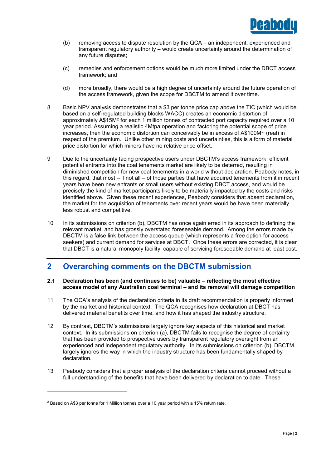

- (b) removing access to dispute resolution by the QCA an independent, experienced and transparent regulatory authority – would create uncertainty around the determination of any future disputes;
- (c) remedies and enforcement options would be much more limited under the DBCT access framework; and
- (d) more broadly, there would be a high degree of uncertainty around the future operation of the access framework, given the scope for DBCTM to amend it over time.
- 8 Basic NPV analysis demonstrates that a \$3 per tonne price cap above the TIC (which would be based on a self-regulated building blocks WACC) creates an economic distortion of approximately A\$15M2 for each 1 million tonnes of contracted port capacity required over a 10 year period. Assuming a realistic 4Mtpa operation and factoring the potential scope of price increases, then the economic distortion can conceivably be in excess of A\$100M~ (real) in respect of the premium. Unlike other mining costs and uncertainties, this is a form of material price distortion for which miners have no relative price offset.
- 9 Due to the uncertainty facing prospective users under DBCTM's access framework, efficient potential entrants into the coal tenements market are likely to be deterred, resulting in diminished competition for new coal tenements in a world without declaration. Peabody notes, in this regard, that most – if not all – of those parties that have acquired tenements from it in recent years have been new entrants or small users without existing DBCT access, and would be precisely the kind of market participants likely to be materially impacted by the costs and risks identified above. Given these recent experiences, Peabody considers that absent declaration, the market for the acquisition of tenements over recent years would be have been materially less robust and competitive.
- 10 In its submissions on criterion (b), DBCTM has once again erred in its approach to defining the relevant market, and has grossly overstated foreseeable demand. Among the errors made by DBCTM is a false link between the access queue (which represents a free option for access seekers) and current demand for services at DBCT. Once these errors are corrected, it is clear that DBCT is a natural monopoly facility, capable of servicing foreseeable demand at least cost.

## **2 Overarching comments on the DBCTM submission**

#### $2.1$ **Declaration has been (and continues to be) valuable – reflecting the most effective access model of any Australian coal terminal – and its removal will damage competition**

- 11 The QCA's analysis of the declaration criteria in its draft recommendation is properly informed by the market and historical context. The QCA recognises how declaration at DBCT has delivered material benefits over time, and how it has shaped the industry structure.
- 12 By contrast, DBCTM's submissions largely ignore key aspects of this historical and market context. In its submissions on criterion (a), DBCTM fails to recognise the degree of certainty that has been provided to prospective users by transparent regulatory oversight from an experienced and independent regulatory authority. In its submissions on criterion (b), DBCTM largely ignores the way in which the industry structure has been fundamentally shaped by declaration.
- 13 Peabody considers that a proper analysis of the declaration criteria cannot proceed without a full understanding of the benefits that have been delivered by declaration to date. These

<sup>2</sup> Based on A\$3 per tonne for 1 Million tonnes over a 10 year period with a 15% return rate.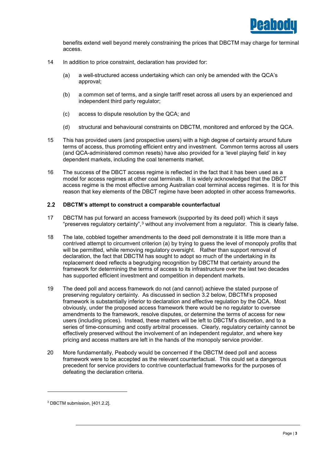

benefits extend well beyond merely constraining the prices that DBCTM may charge for terminal access.

- 14 In addition to price constraint, declaration has provided for:
	- (a) a well-structured access undertaking which can only be amended with the QCA's approval;
	- (b) a common set of terms, and a single tariff reset across all users by an experienced and independent third party regulator;
	- (c) access to dispute resolution by the QCA; and
	- (d) structural and behavioural constraints on DBCTM, monitored and enforced by the QCA.
- 15 This has provided users (and prospective users) with a high degree of certainty around future terms of access, thus promoting efficient entry and investment. Common terms across all users (and QCA-administered common resets) have also provided for a 'level playing field' in key dependent markets, including the coal tenements market.
- 16 The success of the DBCT access regime is reflected in the fact that it has been used as a model for access regimes at other coal terminals. It is widely acknowledged that the DBCT access regime is the most effective among Australian coal terminal access regimes. It is for this reason that key elements of the DBCT regime have been adopted in other access frameworks.

#### $2.2$ **DBCTM's attempt to construct a comparable counterfactual**

- 17 DBCTM has put forward an access framework (supported by its deed poll) which it says "preserves regulatory certainty",3 without any involvement from a regulator. This is clearly false.
- 18 The late, cobbled together amendments to the deed poll demonstrate it is little more than a contrived attempt to circumvent criterion (a) by trying to guess the level of monopoly profits that will be permitted, while removing regulatory oversight. Rather than support removal of declaration, the fact that DBCTM has sought to adopt so much of the undertaking in its replacement deed reflects a begrudging recognition by DBCTM that certainty around the framework for determining the terms of access to its infrastructure over the last two decades has supported efficient investment and competition in dependent markets.
- 19 The deed poll and access framework do not (and cannot) achieve the stated purpose of preserving regulatory certainty. As discussed in section 3.2 below, DBCTM's proposed framework is substantially inferior to declaration and effective regulation by the QCA. Most obviously, under the proposed access framework there would be no regulator to oversee amendments to the framework, resolve disputes, or determine the terms of access for new users (including prices). Instead, these matters will be left to DBCTM's discretion, and to a series of time-consuming and costly arbitral processes. Clearly, regulatory certainty cannot be effectively preserved without the involvement of an independent regulator, and where key pricing and access matters are left in the hands of the monopoly service provider.
- 20 More fundamentally, Peabody would be concerned if the DBCTM deed poll and access framework were to be accepted as the relevant counterfactual. This could set a dangerous precedent for service providers to contrive counterfactual frameworks for the purposes of defeating the declaration criteria.

<sup>3</sup> DBCTM submission, [401.2.2].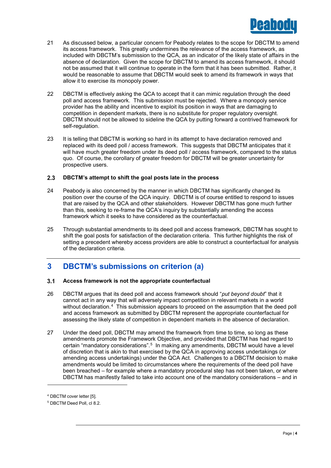

- 21 As discussed below, a particular concern for Peabody relates to the scope for DBCTM to amend its access framework. This greatly undermines the relevance of the access framework, as included with DBCTM's submission to the QCA, as an indicator of the likely state of affairs in the absence of declaration. Given the scope for DBCTM to amend its access framework, it should not be assumed that it will continue to operate in the form that it has been submitted. Rather, it would be reasonable to assume that DBCTM would seek to amend its framework in ways that allow it to exercise its monopoly power.
- 22 DBCTM is effectively asking the QCA to accept that it can mimic regulation through the deed poll and access framework. This submission must be rejected. Where a monopoly service provider has the ability and incentive to exploit its position in ways that are damaging to competition in dependent markets, there is no substitute for proper regulatory oversight. DBCTM should not be allowed to sideline the QCA by putting forward a contrived framework for self-regulation.
- 23 It is telling that DBCTM is working so hard in its attempt to have declaration removed and replaced with its deed poll / access framework. This suggests that DBCTM anticipates that it will have much greater freedom under its deed poll / access framework, compared to the status quo. Of course, the corollary of greater freedom for DBCTM will be greater uncertainty for prospective users.

#### $2.3$ **DBCTM's attempt to shift the goal posts late in the process**

- 24 Peabody is also concerned by the manner in which DBCTM has significantly changed its position over the course of the QCA inquiry. DBCTM is of course entitled to respond to issues that are raised by the QCA and other stakeholders. However DBCTM has gone much further than this, seeking to re-frame the QCA's inquiry by substantially amending the access framework which it seeks to have considered as the counterfactual.
- 25 Through substantial amendments to its deed poll and access framework, DBCTM has sought to shift the goal posts for satisfaction of the declaration criteria. This further highlights the risk of setting a precedent whereby access providers are able to construct a counterfactual for analysis of the declaration criteria.

## **3 DBCTM's submissions on criterion (a)**

#### $3.1$ **Access framework is not the appropriate counterfactual**

- 26 DBCTM argues that its deed poll and access framework should "*put beyond doubt*" that it cannot act in any way that will adversely impact competition in relevant markets in a world without declaration.<sup>4</sup> This submission appears to proceed on the assumption that the deed poll and access framework as submitted by DBCTM represent the appropriate counterfactual for assessing the likely state of competition in dependent markets in the absence of declaration.
- 27 Under the deed poll, DBCTM may amend the framework from time to time, so long as these amendments promote the Framework Objective, and provided that DBCTM has had regard to certain "mandatory considerations".<sup>5</sup> In making any amendments, DBCTM would have a level of discretion that is akin to that exercised by the QCA in approving access undertakings (or amending access undertakings) under the QCA Act. Challenges to a DBCTM decision to make amendments would be limited to circumstances where the requirements of the deed poll have been breached – for example where a mandatory procedural step has not been taken, or where DBCTM has manifestly failed to take into account one of the mandatory considerations – and in

<sup>4</sup> DBCTM cover letter [5].

<sup>5</sup> DBCTM Deed Poll, cl 8.2.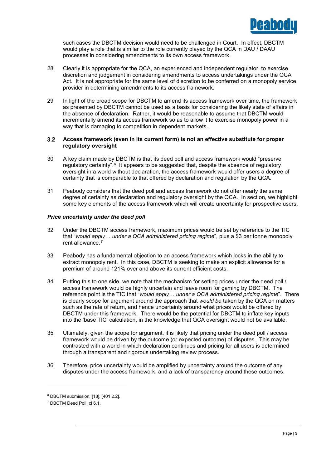

such cases the DBCTM decision would need to be challenged in Court. In effect, DBCTM would play a role that is similar to the role currently played by the QCA in DAU / DAAU processes in considering amendments to its own access framework.

- 28 Clearly it is appropriate for the QCA, an experienced and independent regulator, to exercise discretion and judgement in considering amendments to access undertakings under the QCA Act. It is not appropriate for the same level of discretion to be conferred on a monopoly service provider in determining amendments to its access framework.
- 29 In light of the broad scope for DBCTM to amend its access framework over time, the framework as presented by DBCTM cannot be used as a basis for considering the likely state of affairs in the absence of declaration. Rather, it would be reasonable to assume that DBCTM would incrementally amend its access framework so as to allow it to exercise monopoly power in a way that is damaging to competition in dependent markets.

### $3.2$ **Access framework (even in its current form) is not an effective substitute for proper regulatory oversight**

- 30 A key claim made by DBCTM is that its deed poll and access framework would "preserve regulatory certainty".6 It appears to be suggested that, despite the absence of regulatory oversight in a world without declaration, the access framework would offer users a degree of certainty that is comparable to that offered by declaration and regulation by the QCA.
- 31 Peabody considers that the deed poll and access framework do not offer nearly the same degree of certainty as declaration and regulatory oversight by the QCA. In section, we highlight some key elements of the access framework which will create uncertainty for prospective users.

## *Price uncertainty under the deed poll*

- 32 Under the DBCTM access framework, maximum prices would be set by reference to the TIC that "*would apply… under a QCA administered pricing regime*", plus a \$3 per tonne monopoly rent allowance.<sup>7</sup>
- 33 Peabody has a fundamental objection to an access framework which locks in the ability to extract monopoly rent. In this case, DBCTM is seeking to make an explicit allowance for a premium of around 121% over and above its current efficient costs.
- 34 Putting this to one side, we note that the mechanism for setting prices under the deed poll / access framework would be highly uncertain and leave room for gaming by DBCTM. The reference point is the TIC that "*would apply… under a QCA administered pricing regime*". There is clearly scope for argument around the approach that *would be* taken by the QCA on matters such as the rate of return, and hence uncertainty around what prices would be offered by DBCTM under this framework. There would be the potential for DBCTM to inflate key inputs into the 'base TIC' calculation, in the knowledge that QCA oversight would not be available.
- 35 Ultimately, given the scope for argument, it is likely that pricing under the deed poll / access framework would be driven by the outcome (or expected outcome) of disputes. This may be contrasted with a world in which declaration continues and pricing for all users is determined through a transparent and rigorous undertaking review process.
- 36 Therefore, price uncertainty would be amplified by uncertainty around the outcome of any disputes under the access framework, and a lack of transparency around these outcomes.

<sup>6</sup> DBCTM submission, [18], [401.2.2].

<sup>7</sup> DBCTM Deed Poll, cl 6.1.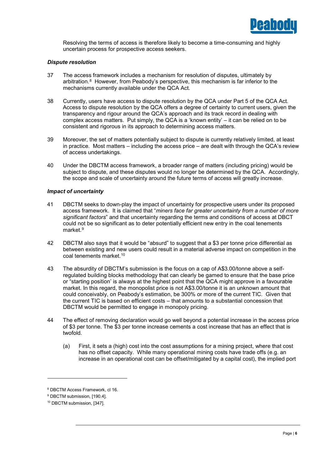

Resolving the terms of access is therefore likely to become a time-consuming and highly uncertain process for prospective access seekers.

## *Dispute resolution*

- 37 The access framework includes a mechanism for resolution of disputes, ultimately by arbitration.8 However, from Peabody's perspective, this mechanism is far inferior to the mechanisms currently available under the QCA Act.
- 38 Currently, users have access to dispute resolution by the QCA under Part 5 of the QCA Act. Access to dispute resolution by the QCA offers a degree of certainty to current users, given the transparency and rigour around the QCA's approach and its track record in dealing with complex access matters. Put simply, the QCA is a 'known entity' – it can be relied on to be consistent and rigorous in its approach to determining access matters.
- 39 Moreover, the set of matters potentially subject to dispute is currently relatively limited, at least in practice. Most matters – including the access price – are dealt with through the QCA's review of access undertakings.
- 40 Under the DBCTM access framework, a broader range of matters (including pricing) would be subject to dispute, and these disputes would no longer be determined by the QCA. Accordingly, the scope and scale of uncertainty around the future terms of access will greatly increase.

## *Impact of uncertainty*

- 41 DBCTM seeks to down-play the impact of uncertainty for prospective users under its proposed access framework. It is claimed that "*miners face far greater uncertainty from a number of more significant factors*" and that uncertainty regarding the terms and conditions of access at DBCT could not be so significant as to deter potentially efficient new entry in the coal tenements market<sup>9</sup>
- 42 DBCTM also says that it would be "absurd" to suggest that a \$3 per tonne price differential as between existing and new users could result in a material adverse impact on competition in the coal tenements market.10
- 43 The absurdity of DBCTM's submission is the focus on a cap of A\$3.00/tonne above a selfregulated building blocks methodology that can clearly be gamed to ensure that the base price or "starting position' is always at the highest point that the QCA might approve in a favourable market. In this regard, the monopolist price is not A\$3.00/tonne it is an unknown amount that could conceivably, on Peabody's estimation, be 300% or more of the current TIC. Given that the current TIC is based on efficient costs – that amounts to a substantial concession that DBCTM would be permitted to engage in monopoly pricing.
- 44 The effect of removing declaration would go well beyond a potential increase in the access price of \$3 per tonne. The \$3 per tonne increase cements a cost increase that has an effect that is twofold.
	- (a) First, it sets a (high) cost into the cost assumptions for a mining project, where that cost has no offset capacity. While many operational mining costs have trade offs (e.g. an increase in an operational cost can be offset/mitigated by a capital cost), the implied port

<sup>8</sup> DBCTM Access Framework, cl 16.

<sup>&</sup>lt;sup>9</sup> DBCTM submission, [190.4].

<sup>10</sup> DBCTM submission, [347].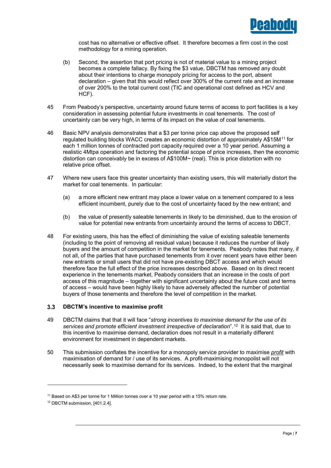

cost has no alternative or effective offset. It therefore becomes a firm cost in the cost methodology for a mining operation.

- (b) Second, the assertion that port pricing is not of material value to a mining project becomes a complete fallacy. By fixing the \$3 value, DBCTM has removed any doubt about their intentions to charge monopoly pricing for access to the port, absent declaration – given that this would reflect over 300% of the current rate and an increase of over 200% to the total current cost (TIC and operational cost defined as HCV and HCF).
- 45 From Peabody's perspective, uncertainty around future terms of access to port facilities is a key consideration in assessing potential future investments in coal tenements. The cost of uncertainty can be very high, in terms of its impact on the value of coal tenements.
- 46 Basic NPV analysis demonstrates that a \$3 per tonne price cap above the proposed self regulated building blocks WACC creates an economic distortion of approximately A\$15M<sup>11</sup> for each 1 million tonnes of contracted port capacity required over a 10 year period. Assuming a realistic 4Mtpa operation and factoring the potential scope of price increases, then the economic distortion can conceivably be in excess of A\$100M~ (real). This is price distortion with no relative price offset.
- 47 Where new users face this greater uncertainty than existing users, this will materially distort the market for coal tenements. In particular:
	- (a) a more efficient new entrant may place a lower value on a tenement compared to a less efficient incumbent, purely due to the cost of uncertainty faced by the new entrant; and
	- (b) the value of presently saleable tenements in likely to be diminished, due to the erosion of value for potential new entrants from uncertainty around the terms of access to DBCT.
- 48 For existing users, this has the effect of diminishing the value of existing saleable tenements (including to the point of removing all residual value) because it reduces the number of likely buyers and the amount of competition in the market for tenements. Peabody notes that many, if not all, of the parties that have purchased tenements from it over recent years have either been new entrants or small users that did not have pre-existing DBCT access and which would therefore face the full effect of the price increases described above. Based on its direct recent experience in the tenements market, Peabody considers that an increase in the costs of port access of this magnitude – together with significant uncertainty about the future cost and terms of access – would have been highly likely to have adversely affected the number of potential buyers of those tenements and therefore the level of competition in the market.

#### **DBCTM's incentive to maximise profit**  $3.3$

- 49 DBCTM claims that that it will face "*strong incentives to maximise demand for the use of its services and promote efficient investment irrespective of declaration*".12 It is said that, due to this incentive to maximise demand, declaration does not result in a materially different environment for investment in dependent markets.
- 50 This submission conflates the incentive for a monopoly service provider to maximise *profit* with maximisation of demand for / use of its services. A profit-maximising monopolist will not necessarily seek to maximise demand for its services. Indeed, to the extent that the marginal

 $11$  Based on A\$3 per tonne for 1 Million tonnes over a 10 year period with a 15% return rate.

<sup>12</sup> DBCTM submission, [401.2.4].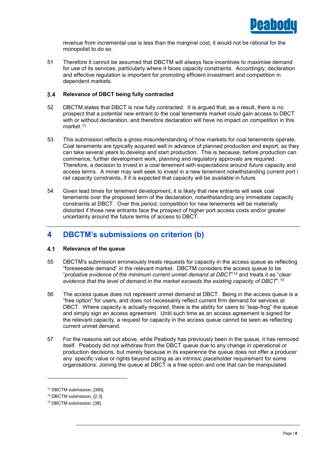

revenue from incremental use is less than the marginal cost, it would not be rational for the monopolist to do so.

51 Therefore it cannot be assumed that DBCTM will always face incentives to maximise demand for use of its services, particularly where it faces capacity constraints. Accordingly, declaration and effective regulation is important for promoting efficient investment and competition in dependent markets.

#### **Relevance of DBCT being fully contracted**  $3.4$

- 52 DBCTM states that DBCT is now fully contracted. It is argued that, as a result, there is no prospect that a potential new entrant to the coal tenements market could gain access to DBCT with or without declaration, and therefore declaration will have no impact on competition in this market.<sup>13</sup>
- 53 This submission reflects a gross misunderstanding of how markets for coal tenements operate. Coal tenements are typically acquired well in advance of planned production and export, as they can take several years to develop and start production. This is because, before production can commence, further development work, planning and regulatory approvals are required. Therefore, a decision to invest in a coal tenement with expectations around *future* capacity and access terms. A miner may well seek to invest in a new tenement notwithstanding current port / rail capacity constraints, if it is expected that capacity will be available in future.
- 54 Given lead times for tenement development, it is likely that new entrants will seek coal tenements over the proposed term of the declaration, notwithstanding any immediate capacity constraints at DBCT. Over this period, competition for new tenements will be materially distorted if those new entrants face the prospect of higher port access costs and/or greater uncertainty around the future terms of access to DBCT.

## **4 DBCTM's submissions on criterion (b)**

#### $4.1$ **Relevance of the queue**

- 55 DBCTM's submission erroneously treats requests for capacity in the access queue as reflecting "foreseeable demand" in the relevant market. DBCTM considers the access queue to be "*probative evidence of the minimum current unmet demand at DBCT*"14 and treats it as "*clear evidence that the level of demand in the market exceeds the existing capacity of DBCT*".15
- 56 The access queue does not represent unmet demand at DBCT. Being in the access queue is a "free option" for users, and does not necessarily reflect current firm demand for services at DBCT. Where capacity is actually required, there is the ability for users to "leap-frog" the queue and simply sign an access agreement. Until such time as an access agreement is signed for the relevant capacity, a request for capacity in the access queue cannot be seen as reflecting current unmet demand.
- 57 For the reasons set out above, while Peabody has previously been in the queue, it has removed itself. Peabody did not withdraw from the DBCT queue due to any change in operational or production decisions, but merely because in its experience the queue does not offer a producer any specific value or rights beyond acting as an intrinsic placeholder requirement for some organisations. Joining the queue at DBCT is a free option and one that can be manipulated

<sup>13</sup> DBCTM submission, [390].

<sup>14</sup> DBCTM submission, [2.3].

<sup>15</sup> DBCTM submission, [38].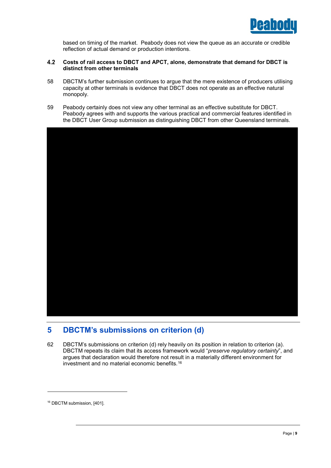

based on timing of the market. Peabody does not view the queue as an accurate or credible reflection of actual demand or production intentions.

### $4.2$ **Costs of rail access to DBCT and APCT, alone, demonstrate that demand for DBCT is distinct from other terminals**

- 58 DBCTM's further submission continues to argue that the mere existence of producers utilising capacity at other terminals is evidence that DBCT does not operate as an effective natural monopoly.
- 59 Peabody certainly does not view any other terminal as an effective substitute for DBCT. Peabody agrees with and supports the various practical and commercial features identified in the DBCT User Group submission as distinguishing DBCT from other Queensland terminals.



## **5 DBCTM's submissions on criterion (d)**

62 DBCTM's submissions on criterion (d) rely heavily on its position in relation to criterion (a). DBCTM repeats its claim that its access framework would "*preserve regulatory certainty*", and argues that declaration would therefore not result in a materially different environment for investment and no material economic benefits.16

<sup>&</sup>lt;sup>16</sup> DBCTM submission, [401].